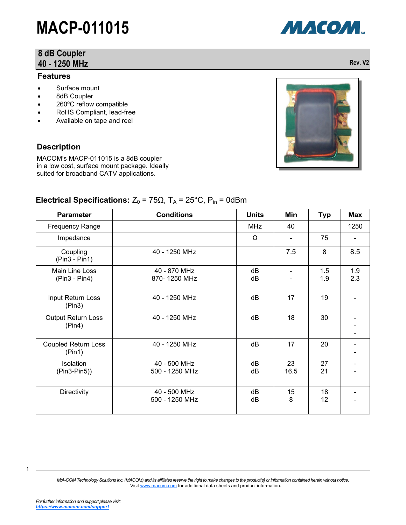### **8 dB Coupler 40 - 1250 MHz Rev. V2**

### **Features**

- Surface mount
- 8dB Coupler
- 260°C reflow compatible
- RoHS Compliant, lead-free
- Available on tape and reel

### **Description**

MACOM's MACP-011015 is a 8dB coupler in a low cost, surface mount package. Ideally suited for broadband CATV applications.

| <b>Parameter</b>                     | <b>Conditions</b>              | <b>Units</b> | Min                      | <b>Typ</b> | <b>Max</b> |
|--------------------------------------|--------------------------------|--------------|--------------------------|------------|------------|
| <b>Frequency Range</b>               |                                | <b>MHz</b>   | 40                       |            | 1250       |
| Impedance                            |                                | Ω            | $\overline{\phantom{a}}$ | 75         |            |
| Coupling<br>$(Pin3 - Pin1)$          | 40 - 1250 MHz                  |              | 7.5                      | 8          | 8.5        |
| Main Line Loss<br>$(Pin3 - Pin4)$    | 40 - 870 MHz<br>870-1250 MHz   | dB<br>dB     | $\overline{\phantom{a}}$ | 1.5<br>1.9 | 1.9<br>2.3 |
| Input Return Loss<br>(Pin3)          | 40 - 1250 MHz                  | dB           | 17                       | 19         |            |
| <b>Output Return Loss</b><br>(Pin4)  | 40 - 1250 MHz                  | dB           | 18                       | 30         |            |
| <b>Coupled Return Loss</b><br>(Pin1) | 40 - 1250 MHz                  | dB           | 17                       | 20         |            |
| Isolation<br>$(Pin3-Pin5)$           | 40 - 500 MHz<br>500 - 1250 MHz | dB<br>dB     | 23<br>16.5               | 27<br>21   |            |
| Directivity                          | 40 - 500 MHz<br>500 - 1250 MHz | dB<br>dB     | 15<br>8                  | 18<br>12   |            |

### **Electrical Specifications:**  $Z_0 = 75\Omega$ ,  $T_A = 25^{\circ}C$ ,  $P_{in} = 0d$ Bm

*M/A-COM Technology Solutions Inc. (MACOM) and its affiliates reserve the right to make changes to the product(s) or information contained herein without notice.*  Visit [www.macom.com](http://www.macom.com/) for additional data sheets and product information.

1



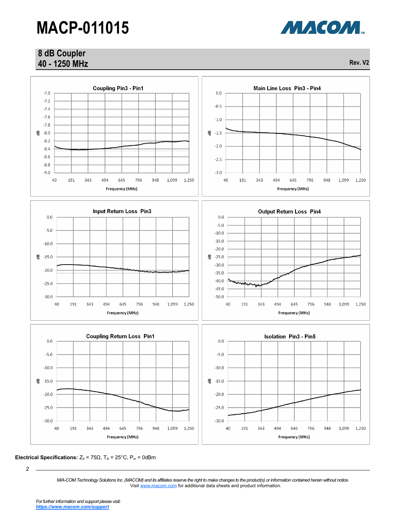**Coupling Pin3 - Pin1** 

### **8 dB Coupler 40 - 1250 MHz Rev. V2**



**Electrical Specifications:**  $Z_0 = 75\Omega$ ,  $T_A = 25^{\circ}C$ ,  $P_{in} = 0d$ Bm

 $-7.0$  $0.0$  $-7.2$  $-0.5$  $-7.4$  $-7.6$  $-1.0$  $-7.8$  $-8.0$  $-1.5$  $-8.2$  $-2.0$  $-8.4$  $-8.6$  $-2.5$  $-8.8$  $-9.0$  $-3.0$ 40 191 343 494 645 796 948 1,099 1,250 40 191 343 494 645 796 948 1,099 1,250 Frequency (MHz) Frequency (MHz) **Input Return Loss Pin3 Output Return Loss Pin4**  $0.0$  $0.0$  $-5.0$  $-5.0$  $-10.0$  $\mbox{-}15.0$  $-10.0$  $-20.0$  $-15.0$ -25.0  $-30.0$  $-20.0$  $-35.0$  $-40.0$  $-25.0$  $-45.0$  $-50.0$  $-30.0$ 40 191 343 494 645 796 948 1,099 1,250 40 191 343 494 645 796 948 1,099 1,250 Frequency (MHz) Frequency (MHz) **Coupling Return Loss Pin1 Isolation Pin3 - Pin5**  $0.0$  $0.0$  $-5.0$  $-5.0$  $-10.0$  $-10.0$  $\frac{60}{6} - 15.0$  $-15.0$  $-20.0$  $-20.0$  $-25.0$  $-25.0$  $-30.0$  $-30.0$ 40 191 343 494 645 796 948 1,099 1,250 40 191 343 494 645 796 948 1,099 1,250 Frequency (MHz) Frequency (MHz)



Main Line Loss Pin3 - Pin4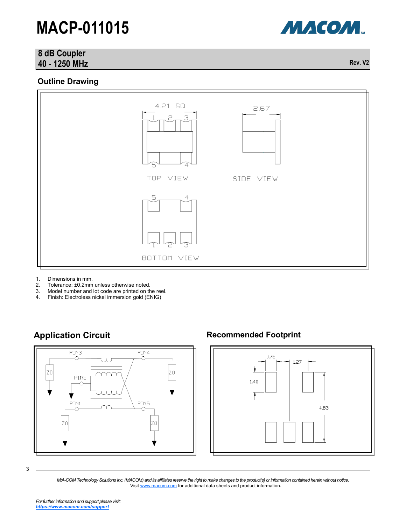### **8 dB Coupler 40 - 1250 MHz Rev. V2**

### **Outline Drawing**



- 1. Dimensions in mm.
- 2. Tolerance: ±0.2mm unless otherwise noted.<br>3. Model number and lot code are printed on the
- 3. Model number and lot code are printed on the reel.<br>4. Finish: Electroless nickel immersion gold (ENIG)
- 4. Finish: Electroless nickel immersion gold (ENIG)



### **Application Circuit Recommended Footprint**



3

*M/A-COM Technology Solutions Inc. (MACOM) and its affiliates reserve the right to make changes to the product(s) or information contained herein without notice.*  Visit [www.macom.com](http://www.macom.com/) for additional data sheets and product information.

МАСОМ.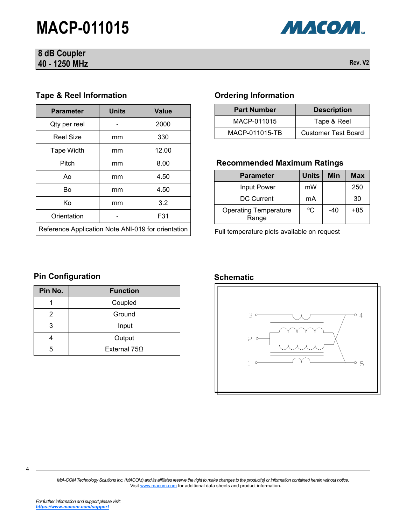### **8 dB Coupler 40 - 1250 MHz Rev. V2**



### **Tape & Reel Information**

| <b>Parameter</b>                                   | <b>Units</b> | <b>Value</b> |
|----------------------------------------------------|--------------|--------------|
| Qty per reel                                       |              | 2000         |
| <b>Reel Size</b>                                   | mm           | 330          |
| Tape Width                                         | mm           | 12.00        |
| Pitch                                              | mm           | 8.00         |
| Ao                                                 | mm           | 4.50         |
| Bo                                                 | mm           | 4.50         |
| Κo                                                 | mm           | 3.2          |
| Orientation                                        |              | F31          |
| Reference Application Note ANI-019 for orientation |              |              |

### **Ordering Information**

| <b>Part Number</b> | <b>Description</b>         |  |  |
|--------------------|----------------------------|--|--|
| MACP-011015        | Tape & Reel                |  |  |
| MACP-011015-TB     | <b>Customer Test Board</b> |  |  |

### **Recommended Maximum Ratings**

| <b>Parameter</b>                      | <b>Units</b> | Min   | Max |
|---------------------------------------|--------------|-------|-----|
| Input Power                           | mW           |       | 250 |
| DC Current                            | mA           |       | 30  |
| <b>Operating Temperature</b><br>Range | °C           | $-40$ | +85 |

Full temperature plots available on request

## **Pin Configuration Configuration Schematic**

| Pin No. | <b>Function</b> |
|---------|-----------------|
|         | Coupled         |
| 2       | Ground          |
| 3       | Input           |
|         | Output          |
| 5       | External 75Ω    |



*M/A-COM Technology Solutions Inc. (MACOM) and its affiliates reserve the right to make changes to the product(s) or information contained herein without notice.*  Visit [www.macom.com](http://www.macom.com/) for additional data sheets and product information.